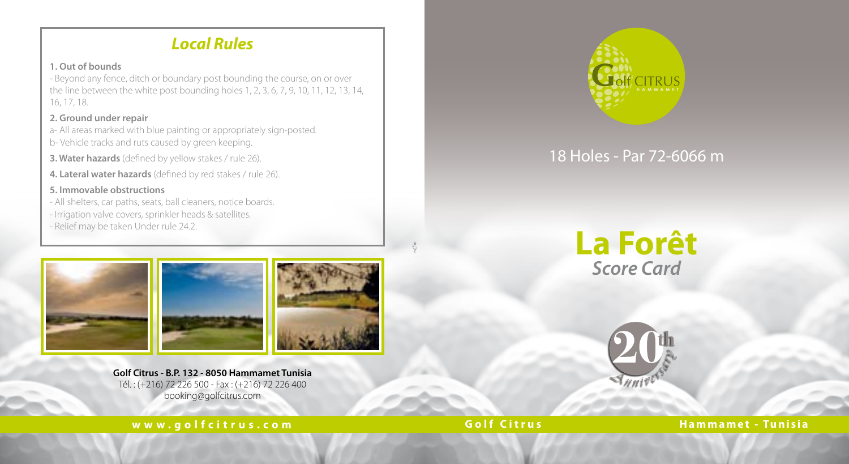# *Local Rules*

#### **1. Out of bounds**

- Beyond any fence, ditch or boundary post bounding the course, on or over the line between the white post bounding holes 1, 2, 3, 6, 7, 9, 10, 11, 12, 13, 14, 16, 17, 18.

### **2. Ground under repair**

a- All areas marked with blue painting or appropriately sign-posted. b- Vehicle tracks and ruts caused by green keeping.

**3. Water hazards** (defined by yellow stakes / rule 26).

**4. Lateral water hazards** (defined by red stakes / rule 26).

### **5. Immovable obstructions**

- All shelters, car paths, seats, ball cleaners, notice boards.
- Irrigation valve covers, sprinkler heads & satellites.
- Relief may be taken Under rule 24.2.



**Golf Citrus - B.P. 132 - 8050 Hammamet Tunisia**  Tél. : (+216) 72 226 500 - Fax : (+216) 72 226 400 booking@golfcitrus.com





# 18 Holes - Par 72-6066 m